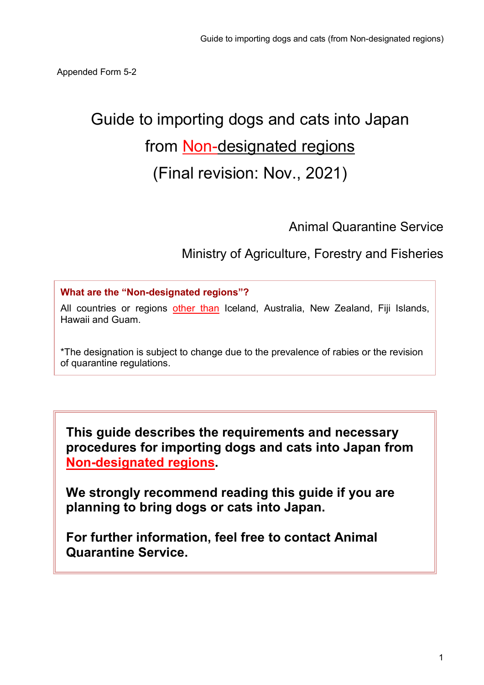# Guide to importing dogs and cats into Japan from **Non-designated regions** (Final revision: Nov., 2021)

Animal Quarantine Service

Ministry of Agriculture, Forestry and Fisheries

What are the "Non-designated regions"?

All countries or regions other than Iceland, Australia, New Zealand, Fiji Islands, Hawaii and Guam.

\*The designation is subject to change due to the prevalence of rabies or the revision of quarantine regulations.

This guide describes the requirements and necessary procedures for importing dogs and cats into Japan from Non-designated regions.

We strongly recommend reading this guide if you are planning to bring dogs or cats into Japan.

For further information, feel free to contact Animal Quarantine Service.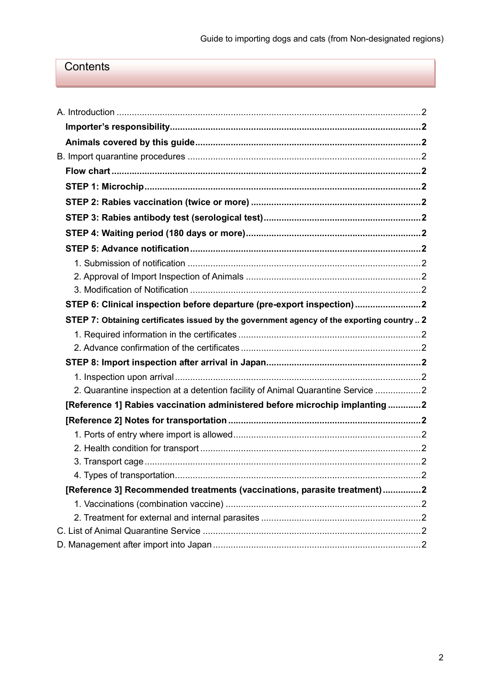# **Contents**

| STEP 6: Clinical inspection before departure (pre-export inspection)2                     |  |
|-------------------------------------------------------------------------------------------|--|
| STEP 7: Obtaining certificates issued by the government agency of the exporting country 2 |  |
|                                                                                           |  |
|                                                                                           |  |
|                                                                                           |  |
|                                                                                           |  |
| 2. Quarantine inspection at a detention facility of Animal Quarantine Service 2           |  |
| [Reference 1] Rabies vaccination administered before microchip implanting 2               |  |
|                                                                                           |  |
|                                                                                           |  |
|                                                                                           |  |
|                                                                                           |  |
|                                                                                           |  |
| [Reference 3] Recommended treatments (vaccinations, parasite treatment)2                  |  |
|                                                                                           |  |
|                                                                                           |  |
|                                                                                           |  |
|                                                                                           |  |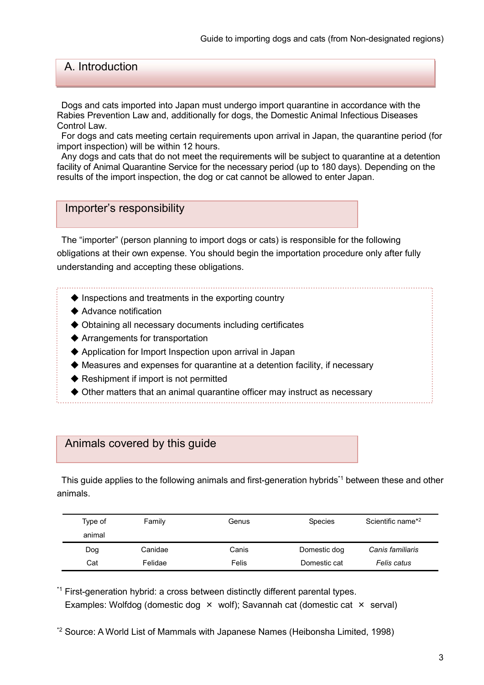# A. Introduction

Dogs and cats imported into Japan must undergo import quarantine in accordance with the Rabies Prevention Law and, additionally for dogs, the Domestic Animal Infectious Diseases Control Law.

For dogs and cats meeting certain requirements upon arrival in Japan, the quarantine period (for import inspection) will be within 12 hours.

Any dogs and cats that do not meet the requirements will be subject to quarantine at a detention facility of Animal Quarantine Service for the necessary period (up to 180 days). Depending on the results of the import inspection, the dog or cat cannot be allowed to enter Japan.

#### Importer's responsibility

The "importer" (person planning to import dogs or cats) is responsible for the following obligations at their own expense. You should begin the importation procedure only after fully understanding and accepting these obligations.

- $\blacklozenge$  Inspections and treatments in the exporting country
- ◆ Advance notification
- ◆ Obtaining all necessary documents including certificates
- ◆ Arrangements for transportation
- ◆ Application for Import Inspection upon arrival in Japan
- ◆ Measures and expenses for quarantine at a detention facility, if necessary
- ◆ Reshipment if import is not permitted
- ◆ Other matters that an animal quarantine officer may instruct as necessary

### Animals covered by this guide

This guide applies to the following animals and first-generation hybrids<sup>\*1</sup> between these and other animals.

| Type of | Family  | Genus | <b>Species</b> | Scientific name <sup>*2</sup> |  |
|---------|---------|-------|----------------|-------------------------------|--|
| animal  |         |       |                |                               |  |
| Dog     | Canidae | Canis | Domestic dog   | Canis familiaris              |  |
| Cat     | Felidae | Felis | Domestic cat   | Felis catus                   |  |

\*<sup>1</sup> First-generation hybrid: a cross between distinctly different parental types. Examples: Wolfdog (domestic dog × wolf); Savannah cat (domestic cat × serval)

<sup>\*2</sup> Source: A World List of Mammals with Japanese Names (Heibonsha Limited, 1998)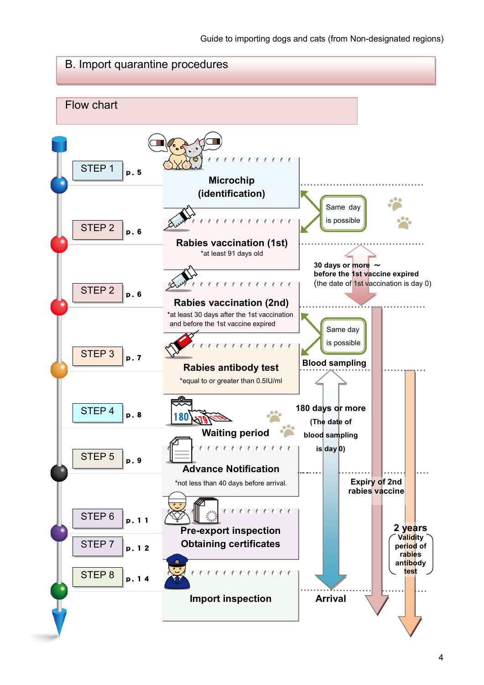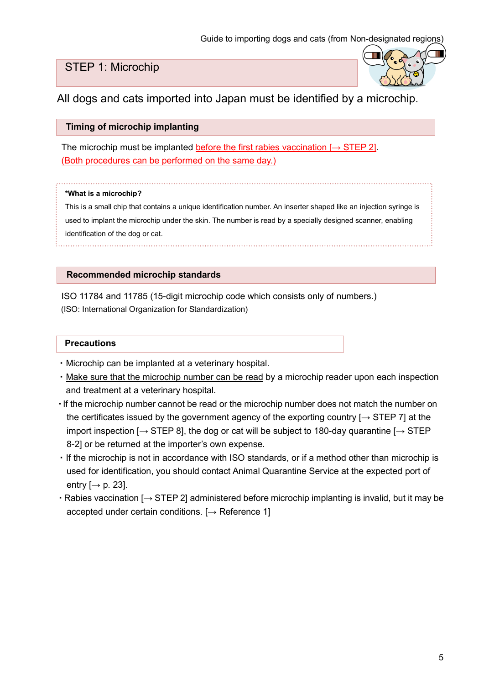# STEP 1: Microchip



All dogs and cats imported into Japan must be identified by a microchip.

#### Timing of microchip implanting

The microchip must be implanted before the first rabies vaccination  $I \rightarrow$  STEP 21. (Both procedures can be performed on the same day.)

#### \*What is a microchip?

This is a small chip that contains a unique identification number. An inserter shaped like an injection syringe is used to implant the microchip under the skin. The number is read by a specially designed scanner, enabling identification of the dog or cat.

#### Recommended microchip standards

ISO 11784 and 11785 (15-digit microchip code which consists only of numbers.) (ISO: International Organization for Standardization)

- ・Microchip can be implanted at a veterinary hospital.
- ・Make sure that the microchip number can be read by a microchip reader upon each inspection and treatment at a veterinary hospital.
- ・If the microchip number cannot be read or the microchip number does not match the number on the certificates issued by the government agency of the exporting country  $\rightarrow$  STEP 7] at the import inspection  $[\rightarrow$  STEP 8], the dog or cat will be subject to 180-day quarantine  $[\rightarrow$  STEP 8-2] or be returned at the importer's own expense.
- ・If the microchip is not in accordance with ISO standards, or if a method other than microchip is used for identification, you should contact Animal Quarantine Service at the expected port of entry  $[\rightarrow p. 23]$ .
- ・Rabies vaccination [→ STEP 2] administered before microchip implanting is invalid, but it may be accepted under certain conditions.  $[\rightarrow$  Reference 1]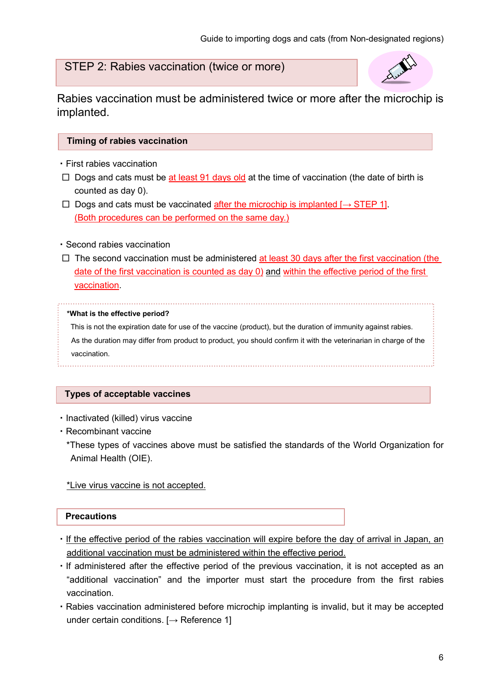# STEP 2: Rabies vaccination (twice or more)



Rabies vaccination must be administered twice or more after the microchip is implanted.

#### Timing of rabies vaccination

- ・First rabies vaccination
- $\Box$  Dogs and cats must be at least 91 days old at the time of vaccination (the date of birth is counted as day 0).
- □ Dogs and cats must be vaccinated after the microchip is implanted  $\rightarrow$  STEP 1]. (Both procedures can be performed on the same day.)

#### ・Second rabies vaccination

 $\Box$  The second vaccination must be administered at least 30 days after the first vaccination (the date of the first vaccination is counted as day 0) and within the effective period of the first vaccination.

#### \*What is the effective period?

This is not the expiration date for use of the vaccine (product), but the duration of immunity against rabies. As the duration may differ from product to product, you should confirm it with the veterinarian in charge of the vaccination.

#### Types of acceptable vaccines

- ・Inactivated (killed) virus vaccine
- ・Recombinant vaccine
	- \*These types of vaccines above must be satisfied the standards of the World Organization for Animal Health (OIE).

#### \*Live virus vaccine is not accepted.

- ・If the effective period of the rabies vaccination will expire before the day of arrival in Japan, an additional vaccination must be administered within the effective period.
- ・If administered after the effective period of the previous vaccination, it is not accepted as an "additional vaccination" and the importer must start the procedure from the first rabies vaccination.
- ・Rabies vaccination administered before microchip implanting is invalid, but it may be accepted under certain conditions.  $[~\rightarrow~\rightarrow~]$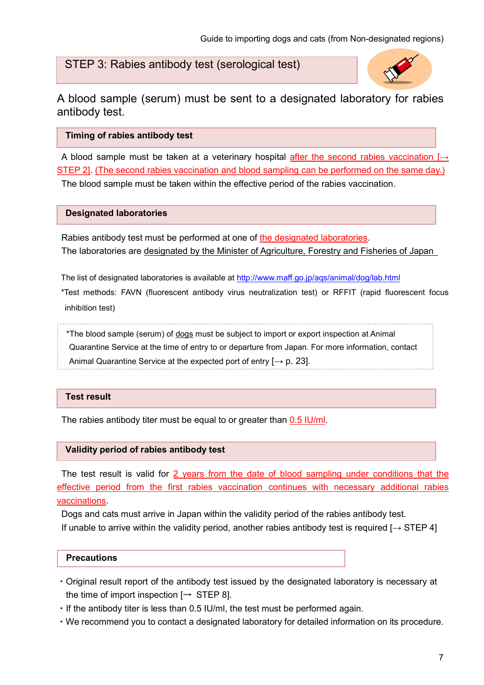# STEP 3: Rabies antibody test (serological test)



A blood sample (serum) must be sent to a designated laboratory for rabies antibody test.

#### Timing of rabies antibody test

A blood sample must be taken at a veterinary hospital after the second rabies vaccination  $\rightarrow$ STEP 2]. (The second rabies vaccination and blood sampling can be performed on the same day.) The blood sample must be taken within the effective period of the rabies vaccination.

#### Designated laboratories

Rabies antibody test must be performed at one of the designated laboratories. The laboratories are designated by the Minister of Agriculture, Forestry and Fisheries of Japan

The list of designated laboratories is available at http://www.maff.go.jp/aqs/animal/dog/lab.html

\*Test methods: FAVN (fluorescent antibody virus neutralization test) or RFFIT (rapid fluorescent focus inhibition test)

\*The blood sample (serum) of dogs must be subject to import or export inspection at Animal

Quarantine Service at the time of entry to or departure from Japan. For more information, contact Animal Quarantine Service at the expected port of entry  $[\rightarrow p. 23]$ .

#### Test result

The rabies antibody titer must be equal to or greater than 0.5 IU/ml.

#### Validity period of rabies antibody test

The test result is valid for 2 years from the date of blood sampling under conditions that the effective period from the first rabies vaccination continues with necessary additional rabies vaccinations.

Dogs and cats must arrive in Japan within the validity period of the rabies antibody test. If unable to arrive within the validity period, another rabies antibody test is required  $[\rightarrow$  STEP 4]

- ・Original result report of the antibody test issued by the designated laboratory is necessary at the time of import inspection  $[\rightarrow$  STEP 8].
- ・If the antibody titer is less than 0.5 IU/ml, the test must be performed again.
- ・We recommend you to contact a designated laboratory for detailed information on its procedure.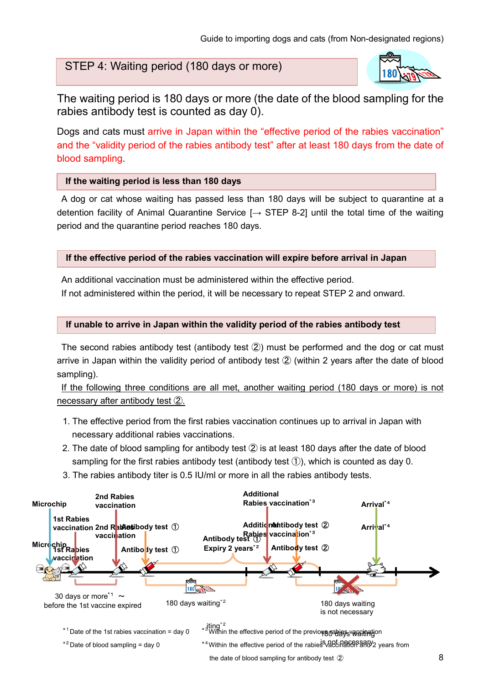# STEP 4: Waiting period (180 days or more)



The waiting period is 180 days or more (the date of the blood sampling for the rabies antibody test is counted as day 0).

Dogs and cats must arrive in Japan within the "effective period of the rabies vaccination" and the "validity period of the rabies antibody test" after at least 180 days from the date of blood sampling.

#### If the waiting period is less than 180 days

A dog or cat whose waiting has passed less than 180 days will be subject to quarantine at a detention facility of Animal Quarantine Service  $[\rightarrow$  STEP 8-2] until the total time of the waiting period and the quarantine period reaches 180 days.

#### If the effective period of the rabies vaccination will expire before arrival in Japan

An additional vaccination must be administered within the effective period. If not administered within the period, it will be necessary to repeat STEP 2 and onward.

#### If unable to arrive in Japan within the validity period of the rabies antibody test

The second rabies antibody test (antibody test ②) must be performed and the dog or cat must arrive in Japan within the validity period of antibody test ② (within 2 years after the date of blood sampling).

If the following three conditions are all met, another waiting period (180 days or more) is not necessary after antibody test ②.

- 1. The effective period from the first rabies vaccination continues up to arrival in Japan with necessary additional rabies vaccinations.
- 2. The date of blood sampling for antibody test ② is at least 180 days after the date of blood sampling for the first rabies antibody test (antibody test  $(1)$ ), which is counted as day 0.
- 3. The rabies antibody titer is 0.5 IU/ml or more in all the rabies antibody tests.

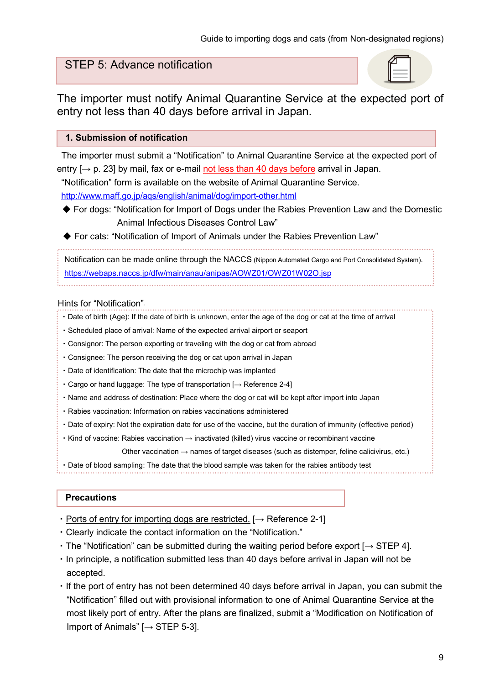# STEP 5: Advance notification

The importer must notify Animal Quarantine Service at the expected port of entry not less than 40 days before arrival in Japan.

#### 1. Submission of notification

The importer must submit a "Notification" to Animal Quarantine Service at the expected port of entry  $\rightarrow$  p. 23] by mail, fax or e-mail not less than 40 days before arrival in Japan.

"Notification" form is available on the website of Animal Quarantine Service.

http://www.maff.go.jp/aqs/english/animal/dog/import-other.html

◆ For dogs: "Notification for Import of Dogs under the Rabies Prevention Law and the Domestic Animal Infectious Diseases Control Law"

◆ For cats: "Notification of Import of Animals under the Rabies Prevention Law"

Notification can be made online through the NACCS (Nippon Automated Cargo and Port Consolidated System). https://webaps.naccs.jp/dfw/main/anau/anipas/AOWZ01/OWZ01W02O.jsp

#### Hints for "Notification".

- ・Date of birth (Age): If the date of birth is unknown, enter the age of the dog or cat at the time of arrival
- ・Scheduled place of arrival: Name of the expected arrival airport or seaport
- ・Consignor: The person exporting or traveling with the dog or cat from abroad
- ・Consignee: The person receiving the dog or cat upon arrival in Japan
- ・Date of identification: The date that the microchip was implanted
- ・Cargo or hand luggage: The type of transportation [→ Reference 2-4]
- ・Name and address of destination: Place where the dog or cat will be kept after import into Japan
- ・Rabies vaccination: Information on rabies vaccinations administered
- ・Date of expiry: Not the expiration date for use of the vaccine, but the duration of immunity (effective period)
- ・Kind of vaccine: Rabies vaccination → inactivated (killed) virus vaccine or recombinant vaccine

Other vaccination  $\rightarrow$  names of target diseases (such as distemper, feline calicivirus, etc.)

・Date of blood sampling: The date that the blood sample was taken for the rabies antibody test

- Ports of entry for importing dogs are restricted.  $[\rightarrow$  Reference 2-1]
- ・Clearly indicate the contact information on the "Notification."
- The "Notification" can be submitted during the waiting period before export  $[→$  STEP 4].
- ・In principle, a notification submitted less than 40 days before arrival in Japan will not be accepted.
- ・If the port of entry has not been determined 40 days before arrival in Japan, you can submit the "Notification" filled out with provisional information to one of Animal Quarantine Service at the most likely port of entry. After the plans are finalized, submit a "Modification on Notification of Import of Animals" [→ STEP 5-3].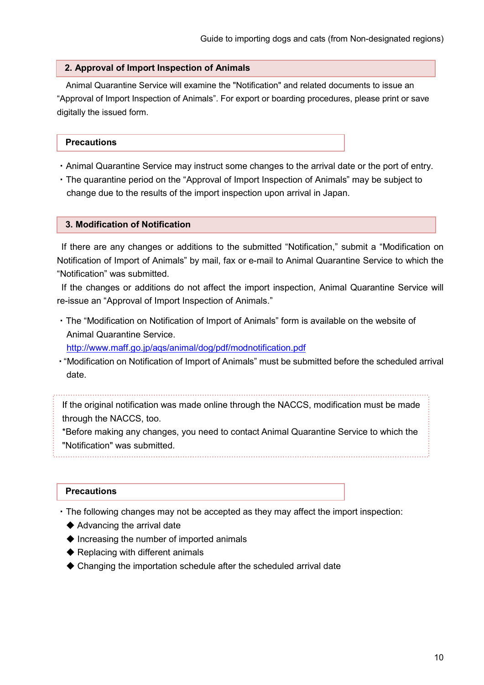#### 2. Approval of Import Inspection of Animals

Animal Quarantine Service will examine the "Notification" and related documents to issue an "Approval of Import Inspection of Animals". For export or boarding procedures, please print or save digitally the issued form.

#### **Precautions**

- ・Animal Quarantine Service may instruct some changes to the arrival date or the port of entry.
- ・The quarantine period on the "Approval of Import Inspection of Animals" may be subject to change due to the results of the import inspection upon arrival in Japan.

#### 3. Modification of Notification

If there are any changes or additions to the submitted "Notification," submit a "Modification on Notification of Import of Animals" by mail, fax or e-mail to Animal Quarantine Service to which the "Notification" was submitted.

If the changes or additions do not affect the import inspection, Animal Quarantine Service will re-issue an "Approval of Import Inspection of Animals."

・The "Modification on Notification of Import of Animals" form is available on the website of Animal Quarantine Service.

http://www.maff.go.jp/aqs/animal/dog/pdf/modnotification.pdf

・"Modification on Notification of Import of Animals" must be submitted before the scheduled arrival date.

If the original notification was made online through the NACCS, modification must be made through the NACCS, too.

\*Before making any changes, you need to contact Animal Quarantine Service to which the "Notification" was submitted.

#### **Precautions**

・The following changes may not be accepted as they may affect the import inspection:

- ◆ Advancing the arrival date
- ◆ Increasing the number of imported animals
- $\blacklozenge$  Replacing with different animals
- ◆ Changing the importation schedule after the scheduled arrival date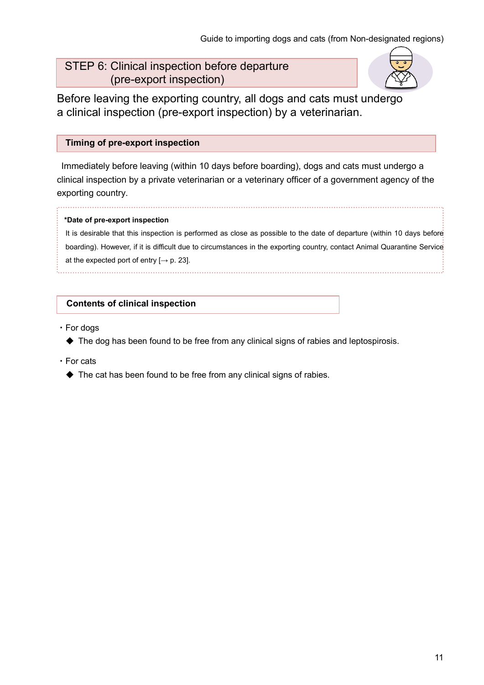# STEP 6: Clinical inspection before departure (pre-export inspection)



Before leaving the exporting country, all dogs and cats must undergo a clinical inspection (pre-export inspection) by a veterinarian.

#### Timing of pre-export inspection

Immediately before leaving (within 10 days before boarding), dogs and cats must undergo a clinical inspection by a private veterinarian or a veterinary officer of a government agency of the exporting country.

#### \*Date of pre-export inspection

It is desirable that this inspection is performed as close as possible to the date of departure (within 10 days before boarding). However, if it is difficult due to circumstances in the exporting country, contact Animal Quarantine Service at the expected port of entry  $[\rightarrow p. 23]$ .

#### Contents of clinical inspection

- ・For dogs
	- ◆ The dog has been found to be free from any clinical signs of rabies and leptospirosis.
- ・For cats
	- ◆ The cat has been found to be free from any clinical signs of rabies.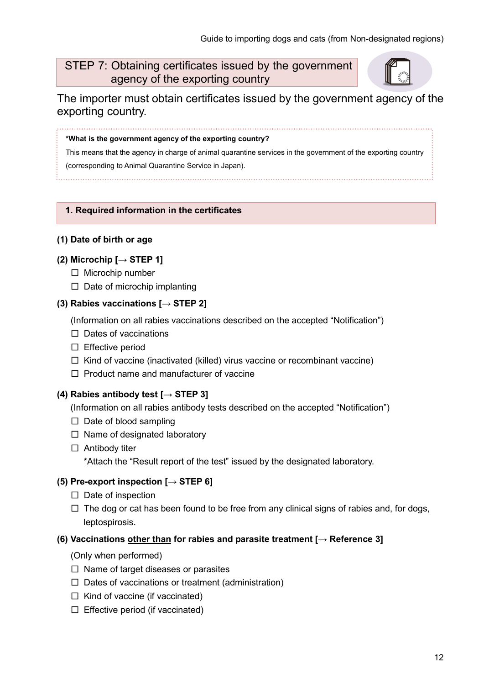# STEP 7: Obtaining certificates issued by the government agency of the exporting country



The importer must obtain certificates issued by the government agency of the exporting country.

#### \*What is the government agency of the exporting country?

This means that the agency in charge of animal quarantine services in the government of the exporting country (corresponding to Animal Quarantine Service in Japan).

#### 1. Required information in the certificates

#### (1) Date of birth or age

#### (2) Microchip  $[\rightarrow$  STEP 1]

- □ Microchip number
- $\Box$  Date of microchip implanting

#### (3) Rabies vaccinations  $[\rightarrow$  STEP 2]

(Information on all rabies vaccinations described on the accepted "Notification")

- □ Dates of vaccinations
- □ Effective period
- $\Box$  Kind of vaccine (inactivated (killed) virus vaccine or recombinant vaccine)
- $\Box$  Product name and manufacturer of vaccine

#### (4) Rabies antibody test  $[\rightarrow$  STEP 3]

(Information on all rabies antibody tests described on the accepted "Notification")

- $\square$  Date of blood sampling
- $\square$  Name of designated laboratory
- $\square$  Antibody titer

\*Attach the "Result report of the test" issued by the designated laboratory.

#### (5) Pre-export inspection  $[\rightarrow$  STEP 6]

- □ Date of inspection
- $\square$  The dog or cat has been found to be free from any clinical signs of rabies and, for dogs, leptospirosis.

#### (6) Vaccinations other than for rabies and parasite treatment  $[\rightarrow$  Reference 3]

- (Only when performed)
- $\square$  Name of target diseases or parasites
- $\square$  Dates of vaccinations or treatment (administration)
- $\Box$  Kind of vaccine (if vaccinated)
- $\square$  Effective period (if vaccinated)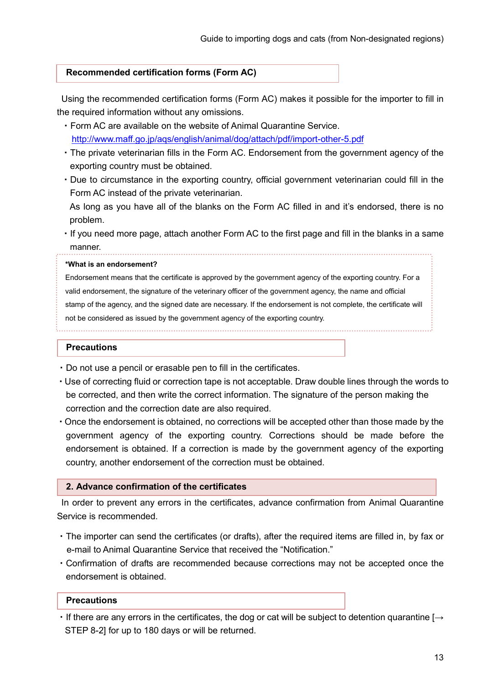#### Recommended certification forms (Form AC)

Using the recommended certification forms (Form AC) makes it possible for the importer to fill in the required information without any omissions.

- ・Form AC are available on the website of Animal Quarantine Service. http://www.maff.go.jp/aqs/english/animal/dog/attach/pdf/import-other-5.pdf
- ・The private veterinarian fills in the Form AC. Endorsement from the government agency of the exporting country must be obtained.
- ・Due to circumstance in the exporting country, official government veterinarian could fill in the Form AC instead of the private veterinarian.

As long as you have all of the blanks on the Form AC filled in and it's endorsed, there is no problem.

・If you need more page, attach another Form AC to the first page and fill in the blanks in a same manner.

#### \*What is an endorsement?

Endorsement means that the certificate is approved by the government agency of the exporting country. For a valid endorsement, the signature of the veterinary officer of the government agency, the name and official stamp of the agency, and the signed date are necessary. If the endorsement is not complete, the certificate will not be considered as issued by the government agency of the exporting country.

#### **Precautions**

- ・Do not use a pencil or erasable pen to fill in the certificates.
- ・Use of correcting fluid or correction tape is not acceptable. Draw double lines through the words to be corrected, and then write the correct information. The signature of the person making the correction and the correction date are also required.
- ・Once the endorsement is obtained, no corrections will be accepted other than those made by the government agency of the exporting country. Corrections should be made before the endorsement is obtained. If a correction is made by the government agency of the exporting country, another endorsement of the correction must be obtained.

#### 2. Advance confirmation of the certificates

In order to prevent any errors in the certificates, advance confirmation from Animal Quarantine Service is recommended.

- ・The importer can send the certificates (or drafts), after the required items are filled in, by fax or e-mail to Animal Quarantine Service that received the "Notification."
- ・Confirmation of drafts are recommended because corrections may not be accepted once the endorsement is obtained.

#### **Precautions**

 $\cdot$  If there are any errors in the certificates, the dog or cat will be subject to detention quarantine [ $\rightarrow$ STEP 8-2] for up to 180 days or will be returned.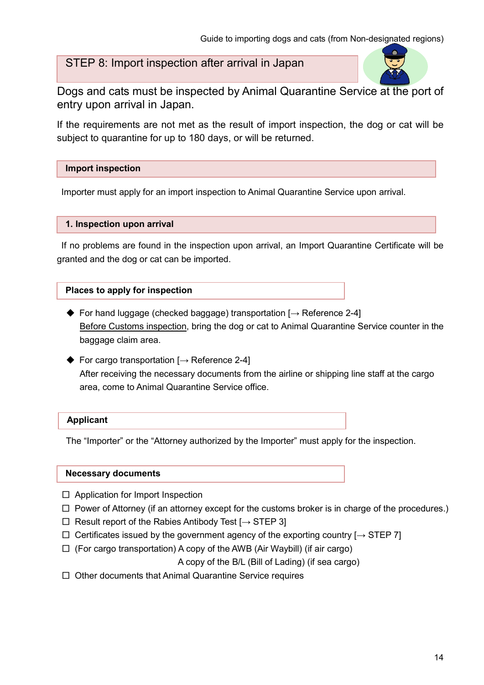# STEP 8: Import inspection after arrival in Japan



Dogs and cats must be inspected by Animal Quarantine Service at the port of entry upon arrival in Japan.

If the requirements are not met as the result of import inspection, the dog or cat will be subject to quarantine for up to 180 days, or will be returned.

#### Import inspection

Importer must apply for an import inspection to Animal Quarantine Service upon arrival.

#### 1. Inspection upon arrival

If no problems are found in the inspection upon arrival, an Import Quarantine Certificate will be granted and the dog or cat can be imported.

#### Places to apply for inspection

- $\blacklozenge$  For hand luggage (checked baggage) transportation  $\blacktriangleright$  Reference 2-4] Before Customs inspection, bring the dog or cat to Animal Quarantine Service counter in the baggage claim area.
- $\blacklozenge$  For cargo transportation  $[\rightarrow]$  Reference 2-4] After receiving the necessary documents from the airline or shipping line staff at the cargo area, come to Animal Quarantine Service office.

#### Applicant

The "Importer" or the "Attorney authorized by the Importer" must apply for the inspection.

#### Necessary documents

- □ Application for Import Inspection
- $\Box$  Power of Attorney (if an attorney except for the customs broker is in charge of the procedures.)
- $□$  Result report of the Rabies Antibody Test [ $→$  STEP 3]
- $\Box$  Certificates issued by the government agency of the exporting country  $[\rightarrow$  STEP 7]
- $\Box$  (For cargo transportation) A copy of the AWB (Air Waybill) (if air cargo)

A copy of the B/L (Bill of Lading) (if sea cargo)

□ Other documents that Animal Quarantine Service requires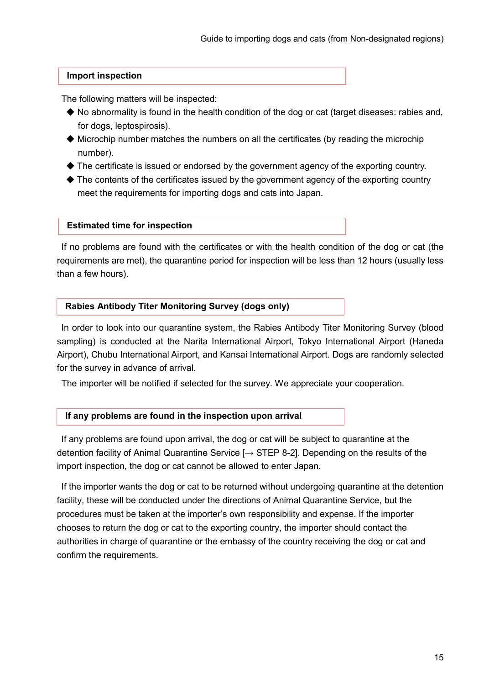#### Import inspection

The following matters will be inspected:

- $\blacklozenge$  No abnormality is found in the health condition of the dog or cat (target diseases: rabies and, for dogs, leptospirosis).
- $\blacklozenge$  Microchip number matches the numbers on all the certificates (by reading the microchip number).
- ◆ The certificate is issued or endorsed by the government agency of the exporting country.
- $\blacklozenge$  The contents of the certificates issued by the government agency of the exporting country meet the requirements for importing dogs and cats into Japan.

#### Estimated time for inspection

If no problems are found with the certificates or with the health condition of the dog or cat (the requirements are met), the quarantine period for inspection will be less than 12 hours (usually less than a few hours).

#### Rabies Antibody Titer Monitoring Survey (dogs only)

In order to look into our quarantine system, the Rabies Antibody Titer Monitoring Survey (blood sampling) is conducted at the Narita International Airport, Tokyo International Airport (Haneda Airport), Chubu International Airport, and Kansai International Airport. Dogs are randomly selected for the survey in advance of arrival.

The importer will be notified if selected for the survey. We appreciate your cooperation.

#### If any problems are found in the inspection upon arrival

If any problems are found upon arrival, the dog or cat will be subject to quarantine at the detention facility of Animal Quarantine Service  $\rightarrow$  STEP 8-2]. Depending on the results of the import inspection, the dog or cat cannot be allowed to enter Japan.

If the importer wants the dog or cat to be returned without undergoing quarantine at the detention facility, these will be conducted under the directions of Animal Quarantine Service, but the procedures must be taken at the importer's own responsibility and expense. If the importer chooses to return the dog or cat to the exporting country, the importer should contact the authorities in charge of quarantine or the embassy of the country receiving the dog or cat and confirm the requirements.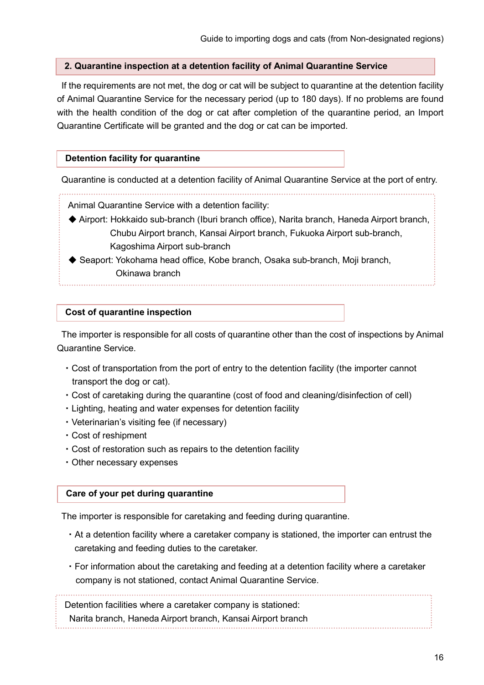#### 2. Quarantine inspection at a detention facility of Animal Quarantine Service

If the requirements are not met, the dog or cat will be subject to quarantine at the detention facility of Animal Quarantine Service for the necessary period (up to 180 days). If no problems are found with the health condition of the dog or cat after completion of the quarantine period, an Import Quarantine Certificate will be granted and the dog or cat can be imported.

#### Detention facility for quarantine

Quarantine is conducted at a detention facility of Animal Quarantine Service at the port of entry.

Animal Quarantine Service with a detention facility:

- ◆ Airport: Hokkaido sub-branch (Iburi branch office), Narita branch, Haneda Airport branch, Chubu Airport branch, Kansai Airport branch, Fukuoka Airport sub-branch, Kagoshima Airport sub-branch
- ◆ Seaport: Yokohama head office, Kobe branch, Osaka sub-branch, Moji branch, Okinawa branch

#### Cost of quarantine inspection

The importer is responsible for all costs of quarantine other than the cost of inspections by Animal Quarantine Service.

- ・Cost of transportation from the port of entry to the detention facility (the importer cannot transport the dog or cat).
- ・Cost of caretaking during the quarantine (cost of food and cleaning/disinfection of cell)
- ・Lighting, heating and water expenses for detention facility
- ・Veterinarian's visiting fee (if necessary)
- ・Cost of reshipment
- ・Cost of restoration such as repairs to the detention facility
- ・Other necessary expenses

#### Care of your pet during quarantine

The importer is responsible for caretaking and feeding during quarantine.

- ・At a detention facility where a caretaker company is stationed, the importer can entrust the caretaking and feeding duties to the caretaker.
- ・For information about the caretaking and feeding at a detention facility where a caretaker company is not stationed, contact Animal Quarantine Service.

Detention facilities where a caretaker company is stationed:

Narita branch, Haneda Airport branch, Kansai Airport branch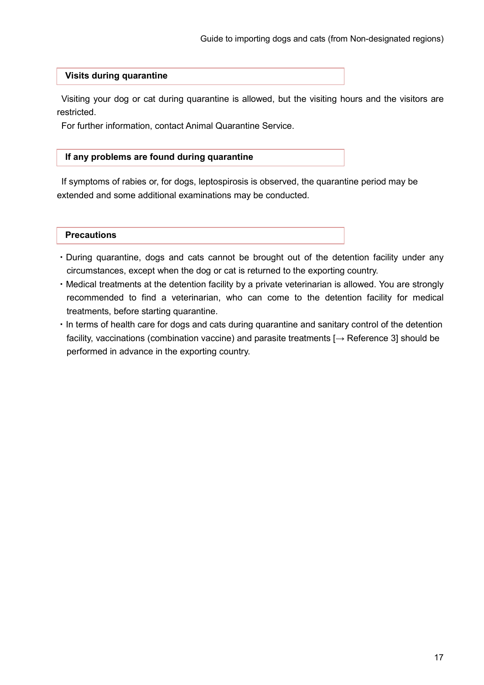#### Visits during quarantine

Visiting your dog or cat during quarantine is allowed, but the visiting hours and the visitors are restricted.

For further information, contact Animal Quarantine Service.

#### If any problems are found during quarantine

If symptoms of rabies or, for dogs, leptospirosis is observed, the quarantine period may be extended and some additional examinations may be conducted.

- ・During quarantine, dogs and cats cannot be brought out of the detention facility under any circumstances, except when the dog or cat is returned to the exporting country.
- ・Medical treatments at the detention facility by a private veterinarian is allowed. You are strongly recommended to find a veterinarian, who can come to the detention facility for medical treatments, before starting quarantine.
- ・In terms of health care for dogs and cats during quarantine and sanitary control of the detention facility, vaccinations (combination vaccine) and parasite treatments  $[ \rightarrow$  Reference 3] should be performed in advance in the exporting country.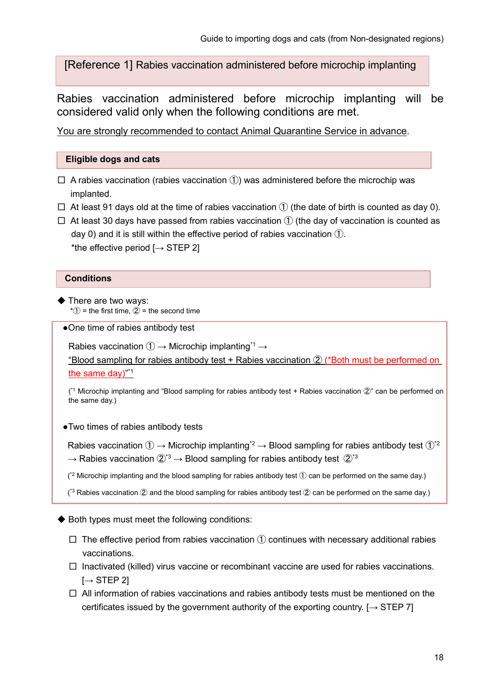[Reference 1] Rabies vaccination administered before microchip implanting

Rabies vaccination administered before microchip implanting will be considered valid only when the following conditions are met.  $\epsilon$ 

You are strongly recommended to contact Animal Quarantine Service in advance.

#### Eligible dogs and cats

- $\square$  A rabies vaccination (rabies vaccination  $\circled{1}$ ) was administered before the microchip was implanted.
- $\Box$  At least 91 days old at the time of rabies vaccination  $\Diamond$  (the date of birth is counted as day 0).
- $\Box$  At least 30 days have passed from rabies vaccination  $\Box$  (the day of vaccination is counted as day 0) and it is still within the effective period of rabies vaccination ①. \*the effective period  $I \rightarrow$  STEP 21

#### **Conditions**

- ◆ There are two ways:  $*(1)$  = the first time,  $(2)$  = the second time
- One time of rabies antibody test

Rabies vaccination  $(1) \rightarrow$  Microchip implanting<sup>\*1</sup>  $\rightarrow$ 

"Blood sampling for rabies antibody test + Rabies vaccination ② (\*Both must be performed on the same day)"<sup>\*1</sup>

( \*1 Microchip implanting and "Blood sampling for rabies antibody test + Rabies vaccination ②" can be performed on the same day.)

●Two times of rabies antibody tests

Rabies vaccination  $\textcircled{1} \rightarrow \text{Microchip}$  implanting<sup>\*2</sup>  $\rightarrow$  Blood sampling for rabies antibody test  $\textcircled{1}^*$ <sup>2</sup>  $\rightarrow$  Rabies vaccination  $\mathbb{Q}^*$ <sup>3</sup>  $\rightarrow$  Blood sampling for rabies antibody test  $\mathbb{Q}^*$ <sup>3</sup>

 $(2^2$  Microchip implanting and the blood sampling for rabies antibody test  $\mathbb D$  can be performed on the same day.)

( $3$  Rabies vaccination  $@$  and the blood sampling for rabies antibody test  $@$  can be performed on the same day.)

◆ Both types must meet the following conditions:

- $\square$  The effective period from rabies vaccination  $\textcircled{1}$  continues with necessary additional rabies vaccinations.
- $\Box$  Inactivated (killed) virus vaccine or recombinant vaccine are used for rabies vaccinations.  $[\rightarrow$  STEP 2]
- $\Box$  All information of rabies vaccinations and rabies antibody tests must be mentioned on the certificates issued by the government authority of the exporting country.  $[\rightarrow$  STEP 7]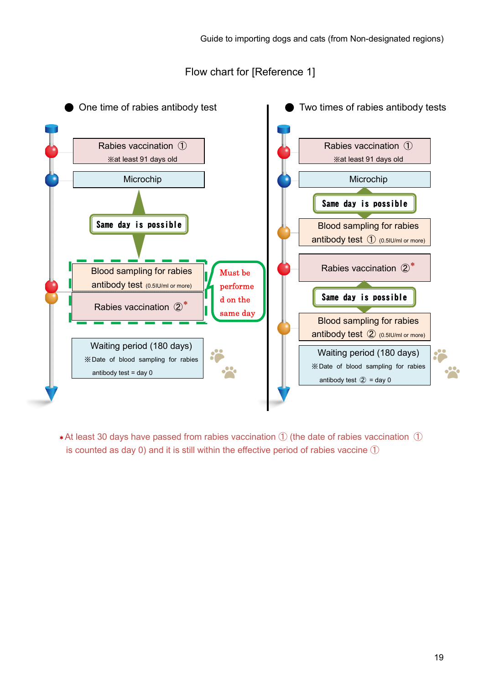Flow chart for [Reference 1]



 $*$ At least 30 days have passed from rabies vaccination  $\Omega$  (the date of rabies vaccination  $\Omega$ ) is counted as day 0) and it is still within the effective period of rabies vaccine  $(1)$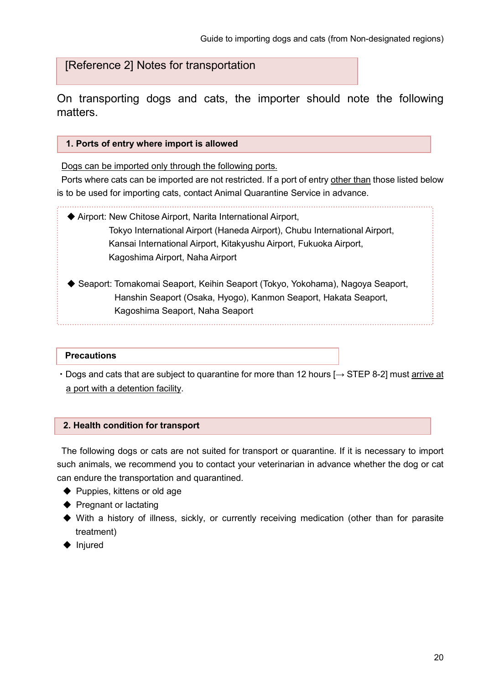[Reference 2] Notes for transportation

On transporting dogs and cats, the importer should note the following matters.

#### 1. Ports of entry where import is allowed

Dogs can be imported only through the following ports.

Ports where cats can be imported are not restricted. If a port of entry other than those listed below is to be used for importing cats, contact Animal Quarantine Service in advance.

- ◆ Airport: New Chitose Airport, Narita International Airport, Tokyo International Airport (Haneda Airport), Chubu International Airport, Kansai International Airport, Kitakyushu Airport, Fukuoka Airport, Kagoshima Airport, Naha Airport
- ◆ Seaport: Tomakomai Seaport, Keihin Seaport (Tokyo, Yokohama), Nagoya Seaport, Hanshin Seaport (Osaka, Hyogo), Kanmon Seaport, Hakata Seaport, Kagoshima Seaport, Naha Seaport

#### **Precautions**

• Dogs and cats that are subject to quarantine for more than 12 hours [→ STEP 8-2] must arrive at a port with a detention facility.

#### 2. Health condition for transport

The following dogs or cats are not suited for transport or quarantine. If it is necessary to import such animals, we recommend you to contact your veterinarian in advance whether the dog or cat can endure the transportation and quarantined.

- ◆ Puppies, kittens or old age
- ◆ Pregnant or lactating
- ◆ With a history of illness, sickly, or currently receiving medication (other than for parasite treatment)
- ◆ Injured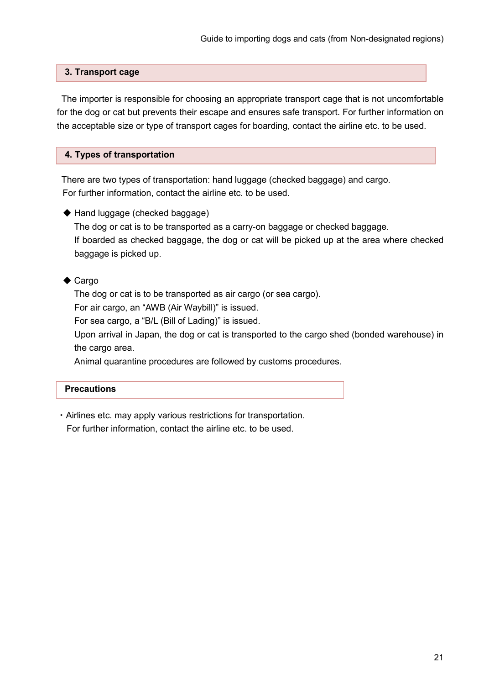#### 3. Transport cage

The importer is responsible for choosing an appropriate transport cage that is not uncomfortable for the dog or cat but prevents their escape and ensures safe transport. For further information on the acceptable size or type of transport cages for boarding, contact the airline etc. to be used.

#### 4. Types of transportation

There are two types of transportation: hand luggage (checked baggage) and cargo. For further information, contact the airline etc. to be used.

◆ Hand luggage (checked baggage) The dog or cat is to be transported as a carry-on baggage or checked baggage. If boarded as checked baggage, the dog or cat will be picked up at the area where checked baggage is picked up.

#### ◆ Cargo

The dog or cat is to be transported as air cargo (or sea cargo).

For air cargo, an "AWB (Air Waybill)" is issued.

For sea cargo, a "B/L (Bill of Lading)" is issued.

Upon arrival in Japan, the dog or cat is transported to the cargo shed (bonded warehouse) in the cargo area.

Animal quarantine procedures are followed by customs procedures.

#### **Precautions**

・Airlines etc. may apply various restrictions for transportation.

For further information, contact the airline etc. to be used.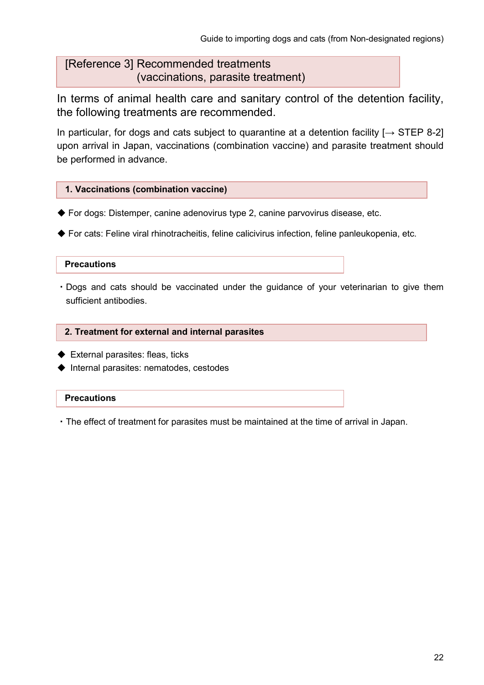# [Reference 3] Recommended treatments (vaccinations, parasite treatment)

In terms of animal health care and sanitary control of the detention facility, the following treatments are recommended.

In particular, for dogs and cats subject to quarantine at a detention facility  $[\rightarrow$  STEP 8-2] upon arrival in Japan, vaccinations (combination vaccine) and parasite treatment should be performed in advance.

### 1. Vaccinations (combination vaccine)

- ◆ For dogs: Distemper, canine adenovirus type 2, canine parvovirus disease, etc.
- ◆ For cats: Feline viral rhinotracheitis, feline calicivirus infection, feline panleukopenia, etc.

#### **Precautions**

・Dogs and cats should be vaccinated under the guidance of your veterinarian to give them sufficient antibodies.

#### 2. Treatment for external and internal parasites

- ◆ External parasites: fleas, ticks
- ◆ Internal parasites: nematodes, cestodes

#### **Precautions**

・The effect of treatment for parasites must be maintained at the time of arrival in Japan.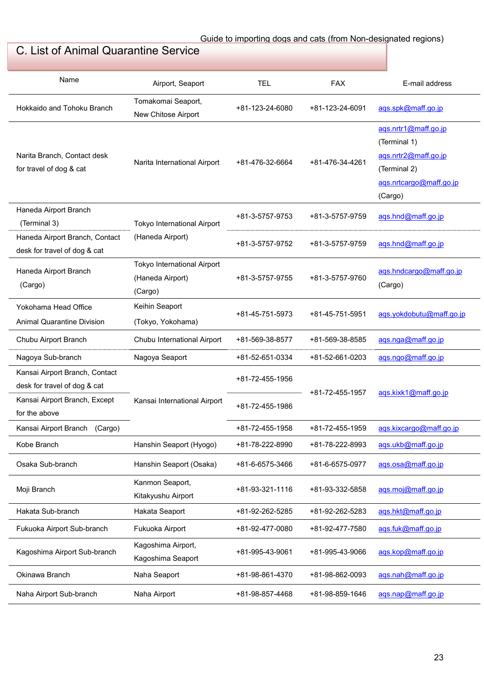# C. List of Animal Quarantine Service

| Name                                                           | Airport, Seaport                                           | <b>TEL</b>      | <b>FAX</b>      | E-mail address                                                                                                     |
|----------------------------------------------------------------|------------------------------------------------------------|-----------------|-----------------|--------------------------------------------------------------------------------------------------------------------|
| Hokkaido and Tohoku Branch                                     | Tomakomai Seaport,<br>New Chitose Airport                  | +81-123-24-6080 | +81-123-24-6091 | ags.spk@maff.go.jp                                                                                                 |
| Narita Branch, Contact desk<br>for travel of dog & cat         | Narita International Airport                               | +81-476-32-6664 | +81-476-34-4261 | ags.nrtr1@maff.go.jp<br>(Terminal 1)<br>ags.nrtr2@maff.go.jp<br>(Terminal 2)<br>ags.nrtcargo@maff.go.jp<br>(Cargo) |
| Haneda Airport Branch<br>(Terminal 3)                          | Tokyo International Airport                                | +81-3-5757-9753 | +81-3-5757-9759 | ags.hnd@maff.go.jp                                                                                                 |
| Haneda Airport Branch, Contact<br>desk for travel of dog & cat | (Haneda Airport)                                           | +81-3-5757-9752 | +81-3-5757-9759 | ags.hnd@maff.go.jp                                                                                                 |
| Haneda Airport Branch<br>(Cargo)                               | Tokyo International Airport<br>(Haneda Airport)<br>(Cargo) | +81-3-5757-9755 | +81-3-5757-9760 | ags.hndcargo@maff.go.jp<br>(Cargo)                                                                                 |
| Yokohama Head Office<br><b>Animal Quarantine Division</b>      | Keihin Seaport<br>(Tokyo, Yokohama)                        | +81-45-751-5973 | +81-45-751-5951 | aqs.yokdobutu@maff.go.jp                                                                                           |
| Chubu Airport Branch                                           | Chubu International Airport                                | +81-569-38-8577 | +81-569-38-8585 | ags.nga@maff.go.jp                                                                                                 |
| Nagoya Sub-branch                                              | Nagoya Seaport                                             | +81-52-651-0334 | +81-52-661-0203 | ags.ngo@maff.go.jp                                                                                                 |
| Kansai Airport Branch, Contact<br>desk for travel of dog & cat | Kansai International Airport                               | +81-72-455-1956 | +81-72-455-1957 | aqs.kixk1@maff.go.jp                                                                                               |
| Kansai Airport Branch, Except<br>for the above                 |                                                            | +81-72-455-1986 |                 |                                                                                                                    |
| Kansai Airport Branch (Cargo)                                  |                                                            | +81-72-455-1958 | +81-72-455-1959 | aqs.kixcargo@maff.go.jp                                                                                            |
| Kobe Branch                                                    | Hanshin Seaport (Hyogo)                                    | +81-78-222-8990 | +81-78-222-8993 | ags.ukb@maff.go.jp                                                                                                 |
| Osaka Sub-branch                                               | Hanshin Seaport (Osaka)                                    | +81-6-6575-3466 | +81-6-6575-0977 | aqs.osa@maff.go.jp                                                                                                 |
| Moji Branch                                                    | Kanmon Seaport,<br>Kitakyushu Airport                      | +81-93-321-1116 | +81-93-332-5858 | ags.moj@maff.go.jp                                                                                                 |
| Hakata Sub-branch                                              | Hakata Seaport                                             | +81-92-262-5285 | +81-92-262-5283 | ags.hkt@maff.go.jp                                                                                                 |
| Fukuoka Airport Sub-branch                                     | Fukuoka Airport                                            | +81-92-477-0080 | +81-92-477-7580 | ags.fuk@maff.go.jp                                                                                                 |
| Kagoshima Airport Sub-branch                                   | Kagoshima Airport,<br>Kagoshima Seaport                    | +81-995-43-9061 | +81-995-43-9066 | ags.kop@maff.go.jp                                                                                                 |
| Okinawa Branch                                                 | Naha Seaport                                               | +81-98-861-4370 | +81-98-862-0093 | ags.nah@maff.go.jp                                                                                                 |
| Naha Airport Sub-branch                                        | Naha Airport                                               | +81-98-857-4468 | +81-98-859-1646 | ags.nap@maff.go.jp                                                                                                 |